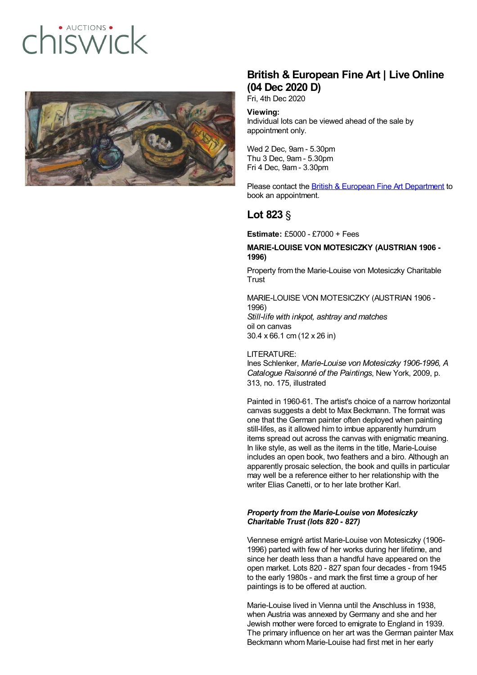# · AUCTIONS hiswick



## **British & European Fine Art | Live Online (04 Dec 2020 D)**

Fri, 4th Dec 2020

#### **Viewing:**

Individual lots can be viewed ahead of the sale by appointment only.

Wed 2 Dec, 9am - 5.30pm Thu 3 Dec, 9am - 5.30pm Fri 4 Dec, 9am - 3.30pm

Please contact the **British & European Fine Art [Department](mailto:ishbel.gray@chiswickauctions.co.uk)** to book an appointment.

### **Lot 823** §

**Estimate:** £5000 - £7000 + Fees

#### **MARIE-LOUISE VON MOTESICZKY (AUSTRIAN 1906 - 1996)**

Property from the Marie-Louise von Motesiczky Charitable **Trust** 

MARIE-LOUISE VON MOTESICZKY (AUSTRIAN 1906 - 1996) *Still-life with inkpot, ashtray and matches* oil on canvas 30.4 x 66.1 cm (12 x 26 in)

#### LITERATURE:

Ines Schlenker, *Marie-Louise von Motesiczky 1906-1996, A Catalogue Raisonné of the Paintings*, New York, 2009, p. 313, no. 175, illustrated

Painted in 1960-61. The artist's choice of a narrow horizontal canvas suggests a debt to Max Beckmann. The format was one that the German painter often deployed when painting still-lifes, as it allowed him to imbue apparently humdrum items spread out across the canvas with enigmatic meaning. In like style, as well as the items in the title, Marie-Louise includes an open book, two feathers and a biro. Although an apparently prosaic selection, the book and quills in particular may well be a reference either to her relationship with the writer Elias Canetti, or to her late brother Karl.

#### *Property from the Marie-Louise von Motesiczky Charitable Trust (lots 820 - 827)*

Viennese emigré artist Marie-Louise von Motesiczky (1906- 1996) parted with few of her works during her lifetime, and since her death less than a handful have appeared on the open market. Lots 820 - 827 span four decades - from 1945 to the early 1980s - and mark the first time a group of her paintings is to be offered at auction.

Marie-Louise lived in Vienna until the Anschluss in 1938, when Austria was annexed by Germany and she and her Jewish mother were forced to emigrate to England in 1939. The primary influence on her art was the German painter Max Beckmann whom Marie-Louise had first met in her early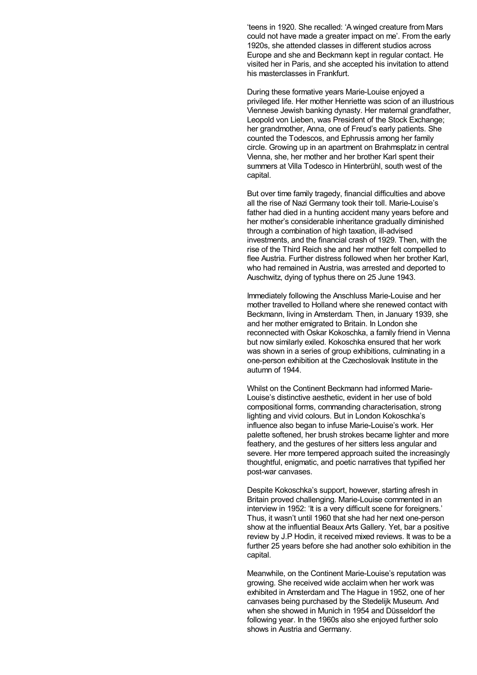'teens in 1920. She recalled: 'A winged creature from Mars could not have made a greater impact on me'. From the early 1920s, she attended classes in different studios across Europe and she and Beckmann kept in regular contact. He visited her in Paris, and she accepted his invitation to attend his masterclasses in Frankfurt.

During these formative years Marie-Louise enjoyed a privileged life. Her mother Henriette was scion of an illustrious Viennese Jewish banking dynasty. Her maternal grandfather, Leopold von Lieben, was President of the Stock Exchange; her grandmother, Anna, one of Freud's early patients. She counted the Todescos, and Ephrussis among her family circle. Growing up in an apartment on Brahmsplatz in central Vienna, she, her mother and her brother Karl spent their summers at Villa Todesco in Hinterbrühl, south west of the capital.

But over time family tragedy, financial difficulties and above all the rise of Nazi Germany took their toll. Marie-Louise's father had died in a hunting accident many years before and her mother's considerable inheritance gradually diminished through a combination of high taxation, ill-advised investments, and the financial crash of 1929. Then, with the rise of the Third Reich she and her mother felt compelled to flee Austria. Further distress followed when her brother Karl, who had remained in Austria, was arrested and deported to Auschwitz, dying of typhus there on 25 June 1943.

Immediately following the Anschluss Marie-Louise and her mother travelled to Holland where she renewed contact with Beckmann, living in Amsterdam. Then, in January 1939, she and her mother emigrated to Britain. In London she reconnected with Oskar Kokoschka, a family friend in Vienna but now similarly exiled. Kokoschka ensured that her work was shown in a series of group exhibitions, culminating in a one-person exhibition at the Czechoslovak Institute in the autumn of 1944.

Whilst on the Continent Beckmann had informed Marie-Louise's distinctive aesthetic, evident in her use of bold compositional forms, commanding characterisation, strong lighting and vivid colours. But in London Kokoschka's influence also began to infuse Marie-Louise's work. Her palette softened, her brush strokes became lighter and more feathery, and the gestures of her sitters less angular and severe. Her more tempered approach suited the increasingly thoughtful, enigmatic, and poetic narratives that typified her post-war canvases.

Despite Kokoschka's support, however, starting afresh in Britain proved challenging. Marie-Louise commented in an interview in 1952: 'It is a very difficult scene for foreigners.' Thus, it wasn't until 1960 that she had her next one-person show at the influential Beaux Arts Gallery. Yet, bar a positive review by J.P Hodin, it received mixed reviews. It was to be a further 25 years before she had another solo exhibition in the capital.

Meanwhile, on the Continent Marie-Louise's reputation was growing. She received wide acclaim when her work was exhibited in Amsterdam and The Hague in 1952, one of her canvases being purchased by the Stedelijk Museum. And when she showed in Munich in 1954 and Düsseldorf the following year. In the 1960s also she enjoyed further solo shows in Austria and Germany.